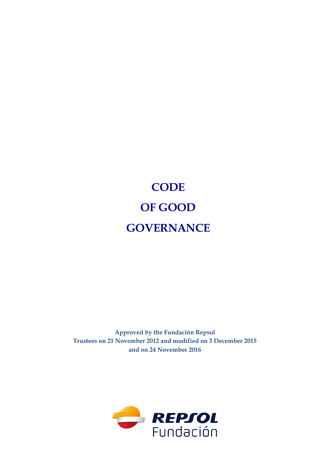# **CODE OF GOOD GOVERNANCE**

**Approved by the Fundación Repsol Trustees on 21 November 2012 and modified on 3 December 2015 and on 24 November 2016** 

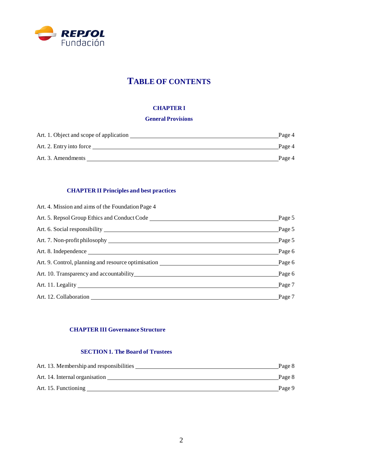

# **TABLE OF CONTENTS**

#### **CHAPTER I**

#### **General Provisions**

| Art. 1. Object and scope of application | Page 4 |
|-----------------------------------------|--------|
| Art. 2. Entry into force                | Page 4 |
| Art. 3. Amendments                      | Page 4 |

#### **CHAPTER II Principles and best practices**

| Art. 4. Mission and aims of the Foundation Page 4                                                                                                                                                                              |                 |
|--------------------------------------------------------------------------------------------------------------------------------------------------------------------------------------------------------------------------------|-----------------|
|                                                                                                                                                                                                                                | Page $5$        |
|                                                                                                                                                                                                                                | $\_\$ {Page\ 5} |
| Art. 7. Non-profit philosophy entertainment and the state of the state of the state of the state of the state of the state of the state of the state of the state of the state of the state of the state of the state of the s | $\_\$ {Page\ 5} |
| Art. 8. Independence                                                                                                                                                                                                           | $\_\$ {Page\ 6} |
| Art. 9. Control, planning and resource optimisation                                                                                                                                                                            | Page $6$        |
| Art. 10. Transparency and accountability example of the state of the state of the state of the state of the state of the state of the state of the state of the state of the state of the state of the state of the state of t | $\_\$ {Page\ 6} |
|                                                                                                                                                                                                                                | $\_\$ {Page 7}  |
| Art. 12. Collaboration                                                                                                                                                                                                         | Page 7          |

#### **CHAPTER III Governance Structure**

#### **SECTION 1. The Board of Trustees**

| Art. 13. Membership and responsibilities | Page 8 |
|------------------------------------------|--------|
| Art. 14. Internal organisation           | Page 8 |
| Art. 15. Functioning                     | Page 9 |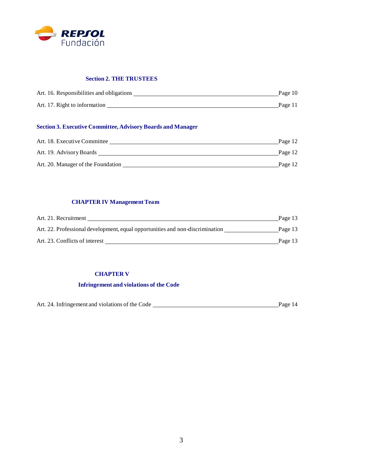

#### **Section 2. THE TRUSTEES**

| Art. 16. Responsibilities and obligations | Page 10 |
|-------------------------------------------|---------|
| Art. 17. Right to information             | Page 11 |

#### **Section 3. Executive Committee, Advisory Boards and Manager**

| Art. 18. Executive Committee       | Page 12 |
|------------------------------------|---------|
| Art. 19. Advisory Boards           | Page 12 |
| Art. 20. Manager of the Foundation | Page 12 |

#### **CHAPTER IV Management Team**

| Art. 21. Recruitment                                                          | Page 13 |
|-------------------------------------------------------------------------------|---------|
| Art. 22. Professional development, equal opportunities and non-discrimination | Page 13 |
| Art. 23. Conflicts of interest                                                | Page 13 |

#### **CHAPTER V**

#### **Infringement and violations of the Code**

| Art. 24. Infringement and violations of the Code | Page 14 |
|--------------------------------------------------|---------|
|                                                  |         |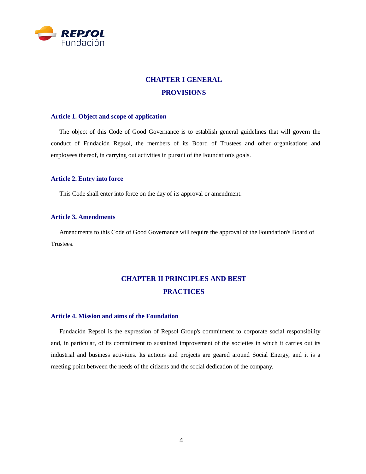

# **CHAPTER I GENERAL PROVISIONS**

#### **Article 1. Object and scope of application**

The object of this Code of Good Governance is to establish general guidelines that will govern the conduct of Fundación Repsol, the members of its Board of Trustees and other organisations and employees thereof, in carrying out activities in pursuit of the Foundation's goals.

#### **Article 2. Entry into force**

This Code shall enter into force on the day of its approval or amendment.

#### **Article 3. Amendments**

Amendments to this Code of Good Governance will require the approval of the Foundation's Board of Trustees.

# **CHAPTER II PRINCIPLES AND BEST PRACTICES**

#### **Article 4. Mission and aims of the Foundation**

Fundación Repsol is the expression of Repsol Group's commitment to corporate social responsibility and, in particular, of its commitment to sustained improvement of the societies in which it carries out its industrial and business activities. Its actions and projects are geared around Social Energy, and it is a meeting point between the needs of the citizens and the social dedication of the company.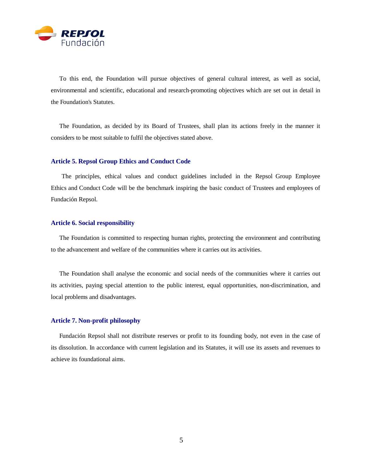

To this end, the Foundation will pursue objectives of general cultural interest, as well as social, environmental and scientific, educational and research-promoting objectives which are set out in detail in the Foundation's Statutes.

The Foundation, as decided by its Board of Trustees, shall plan its actions freely in the manner it considers to be most suitable to fulfil the objectives stated above.

#### **Article 5. Repsol Group Ethics and Conduct Code**

The principles, ethical values and conduct guidelines included in the Repsol Group Employee Ethics and Conduct Code will be the benchmark inspiring the basic conduct of Trustees and employees of Fundación Repsol.

#### **Article 6. Social responsibility**

The Foundation is committed to respecting human rights, protecting the environment and contributing to the advancement and welfare of the communities where it carries out its activities.

The Foundation shall analyse the economic and social needs of the communities where it carries out its activities, paying special attention to the public interest, equal opportunities, non-discrimination, and local problems and disadvantages.

#### **Article 7. Non-profit philosophy**

Fundación Repsol shall not distribute reserves or profit to its founding body, not even in the case of its dissolution. In accordance with current legislation and its Statutes, it will use its assets and revenues to achieve its foundational aims.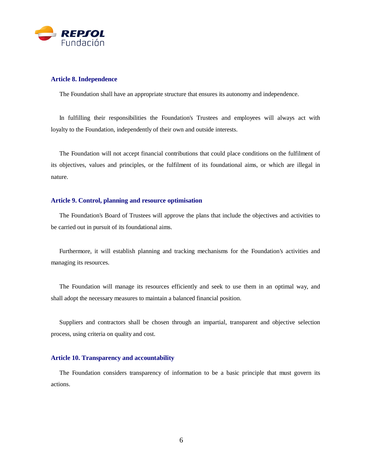

#### **Article 8. Independence**

The Foundation shall have an appropriate structure that ensures its autonomy and independence.

In fulfilling their responsibilities the Foundation's Trustees and employees will always act with loyalty to the Foundation, independently of their own and outside interests.

The Foundation will not accept financial contributions that could place conditions on the fulfilment of its objectives, values and principles, or the fulfilment of its foundational aims, or which are illegal in nature.

#### **Article 9. Control, planning and resource optimisation**

The Foundation's Board of Trustees will approve the plans that include the objectives and activities to be carried out in pursuit of its foundational aims.

Furthermore, it will establish planning and tracking mechanisms for the Foundation's activities and managing its resources.

The Foundation will manage its resources efficiently and seek to use them in an optimal way, and shall adopt the necessary measures to maintain a balanced financial position.

Suppliers and contractors shall be chosen through an impartial, transparent and objective selection process, using criteria on quality and cost.

#### **Article 10. Transparency and accountability**

The Foundation considers transparency of information to be a basic principle that must govern its actions.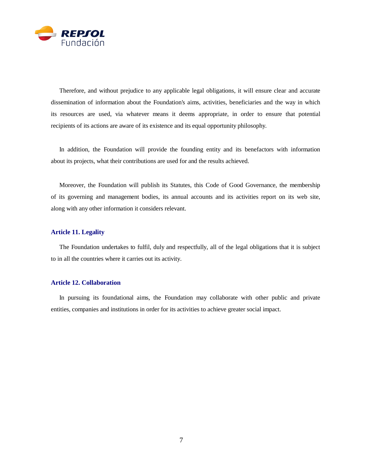

Therefore, and without prejudice to any applicable legal obligations, it will ensure clear and accurate dissemination of information about the Foundation's aims, activities, beneficiaries and the way in which its resources are used, via whatever means it deems appropriate, in order to ensure that potential recipients of its actions are aware of its existence and its equal opportunity philosophy.

In addition, the Foundation will provide the founding entity and its benefactors with information about its projects, what their contributions are used for and the results achieved.

Moreover, the Foundation will publish its Statutes, this Code of Good Governance, the membership of its governing and management bodies, its annual accounts and its activities report on its web site, along with any other information it considers relevant.

#### **Article 11. Legality**

The Foundation undertakes to fulfil, duly and respectfully, all of the legal obligations that it is subject to in all the countries where it carries out its activity.

#### **Article 12. Collaboration**

In pursuing its foundational aims, the Foundation may collaborate with other public and private entities, companies and institutions in order for its activities to achieve greater social impact.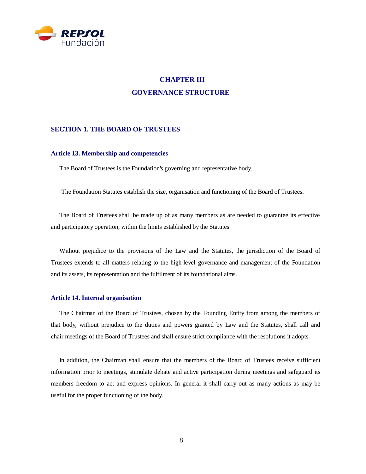

## **CHAPTER III GOVERNANCE STRUCTURE**

#### **SECTION 1. THE BOARD OF TRUSTEES**

#### **Article 13. Membership and competencies**

The Board of Trustees is the Foundation's governing and representative body.

The Foundation Statutes establish the size, organisation and functioning of the Board of Trustees.

The Board of Trustees shall be made up of as many members as are needed to guarantee its effective and participatory operation, within the limits established by the Statutes.

Without prejudice to the provisions of the Law and the Statutes, the jurisdiction of the Board of Trustees extends to all matters relating to the high-level governance and management of the Foundation and its assets, its representation and the fulfilment of its foundational aims.

#### **Article 14. Internal organisation**

The Chairman of the Board of Trustees, chosen by the Founding Entity from among the members of that body, without prejudice to the duties and powers granted by Law and the Statutes, shall call and chair meetings of the Board of Trustees and shall ensure strict compliance with the resolutions it adopts.

In addition, the Chairman shall ensure that the members of the Board of Trustees receive sufficient information prior to meetings, stimulate debate and active participation during meetings and safeguard its members freedom to act and express opinions. In general it shall carry out as many actions as may be useful for the proper functioning of the body.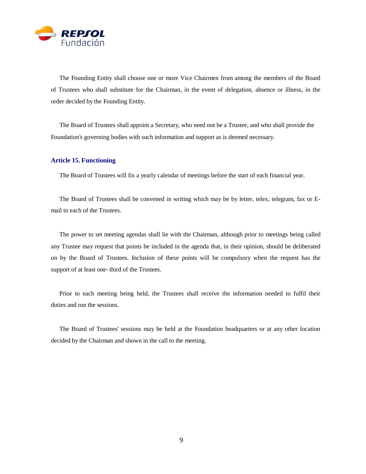

The Founding Entity shall choose one or more Vice Chairmen from among the members of the Board of Trustees who shall substitute for the Chairman, in the event of delegation, absence or illness, in the order decided by the Founding Entity.

The Board of Trustees shall appoint a Secretary, who need not be a Trustee, and who shall provide the Foundation's governing bodies with such information and support as is deemed necessary.

#### **Article 15. Functioning**

The Board of Trustees will fix a yearly calendar of meetings before the start of each financial year.

The Board of Trustees shall be convened in writing which may be by letter, telex, telegram, fax or Email to each of the Trustees.

The power to set meeting agendas shall lie with the Chairman, although prior to meetings being called any Trustee may request that points be included in the agenda that, in their opinion, should be deliberated on by the Board of Trustees. Inclusion of these points will be compulsory when the request has the support of at least one- third of the Trustees.

Prior to each meeting being held, the Trustees shall receive the information needed to fulfil their duties and run the sessions.

The Board of Trustees' sessions may be held at the Foundation headquarters or at any other location decided by the Chairman and shown in the call to the meeting.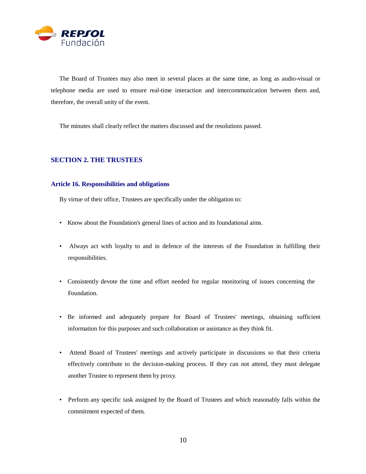

The Board of Trustees may also meet in several places at the same time, as long as audio-visual or telephone media are used to ensure real-time interaction and intercommunication between them and, therefore, the overall unity of the event.

The minutes shall clearly reflect the matters discussed and the resolutions passed.

#### **SECTION 2. THE TRUSTEES**

#### **Article 16. Responsibilities and obligations**

By virtue of their office, Trustees are specifically under the obligation to:

- Know about the Foundation's general lines of action and its foundational aims.
- Always act with loyalty to and in defence of the interests of the Foundation in fulfilling their responsibilities.
- Consistently devote the time and effort needed for regular monitoring of issues concerning the Foundation.
- Be informed and adequately prepare for Board of Trustees' meetings, obtaining sufficient information for this purposes and such collaboration or assistance as they think fit.
- Attend Board of Trustees' meetings and actively participate in discussions so that their criteria effectively contribute to the decision-making process. If they can not attend, they must delegate another Trustee to represent them by proxy.
- Perform any specific task assigned by the Board of Trustees and which reasonably falls within the commitment expected of them.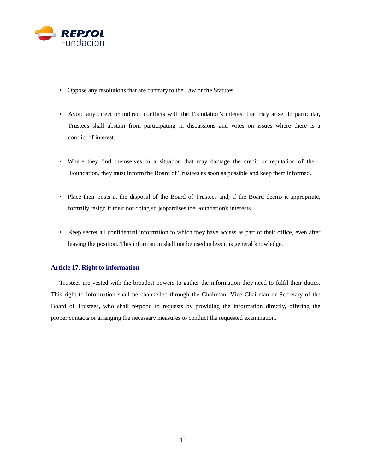

- Oppose any resolutions that are contrary to the Law or the Statutes.
- Avoid any direct or indirect conflicts with the Foundation's interest that may arise. In particular, Trustees shall abstain from participating in discussions and votes on issues where there is a conflict of interest.
- Where they find themselves in a situation that may damage the credit or reputation of the Foundation, they must inform the Board of Trustees as soon as possible and keep them informed.
- Place their posts at the disposal of the Board of Trustees and, if the Board deems it appropriate, formally resign if their not doing so jeopardises the Foundation's interests.
- Keep secret all confidential information to which they have access as part of their office, even after leaving the position. This information shall not be used unless it is general knowledge.

#### **Article 17. Right to information**

Trustees are vested with the broadest powers to gather the information they need to fulfil their duties. This right to information shall be channelled through the Chairman, Vice Chairman or Secretary of the Board of Trustees, who shall respond to requests by providing the information directly, offering the proper contacts or arranging the necessary measures to conduct the requested examination.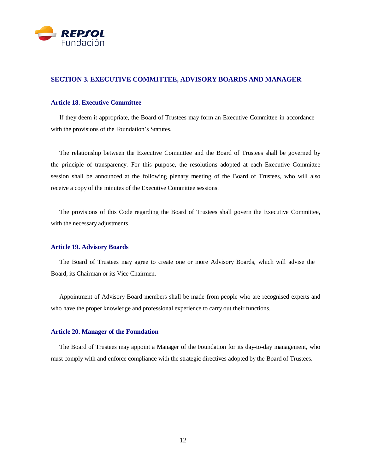

#### **SECTION 3. EXECUTIVE COMMITTEE, ADVISORY BOARDS AND MANAGER**

#### **Article 18. Executive Committee**

If they deem it appropriate, the Board of Trustees may form an Executive Committee in accordance with the provisions of the Foundation's Statutes.

The relationship between the Executive Committee and the Board of Trustees shall be governed by the principle of transparency. For this purpose, the resolutions adopted at each Executive Committee session shall be announced at the following plenary meeting of the Board of Trustees, who will also receive a copy of the minutes of the Executive Committee sessions.

The provisions of this Code regarding the Board of Trustees shall govern the Executive Committee, with the necessary adjustments.

#### **Article 19. Advisory Boards**

The Board of Trustees may agree to create one or more Advisory Boards, which will advise the Board, its Chairman or its Vice Chairmen.

Appointment of Advisory Board members shall be made from people who are recognised experts and who have the proper knowledge and professional experience to carry out their functions.

#### **Article 20. Manager of the Foundation**

The Board of Trustees may appoint a Manager of the Foundation for its day-to-day management, who must comply with and enforce compliance with the strategic directives adopted by the Board of Trustees.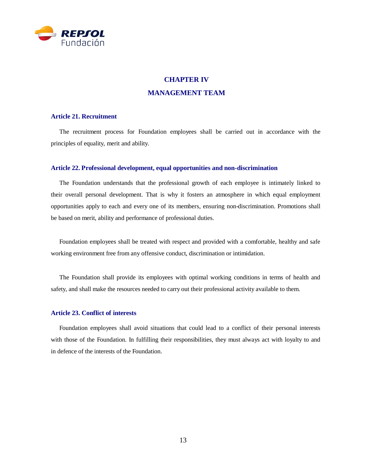

# **CHAPTER IV MANAGEMENT TEAM**

#### **Article 21. Recruitment**

The recruitment process for Foundation employees shall be carried out in accordance with the principles of equality, merit and ability.

#### **Article 22. Professional development, equal opportunities and non-discrimination**

The Foundation understands that the professional growth of each employee is intimately linked to their overall personal development. That is why it fosters an atmosphere in which equal employment opportunities apply to each and every one of its members, ensuring non-discrimination. Promotions shall be based on merit, ability and performance of professional duties.

Foundation employees shall be treated with respect and provided with a comfortable, healthy and safe working environment free from any offensive conduct, discrimination or intimidation.

The Foundation shall provide its employees with optimal working conditions in terms of health and safety, and shall make the resources needed to carry out their professional activity available to them.

#### **Article 23. Conflict of interests**

Foundation employees shall avoid situations that could lead to a conflict of their personal interests with those of the Foundation. In fulfilling their responsibilities, they must always act with loyalty to and in defence of the interests of the Foundation.